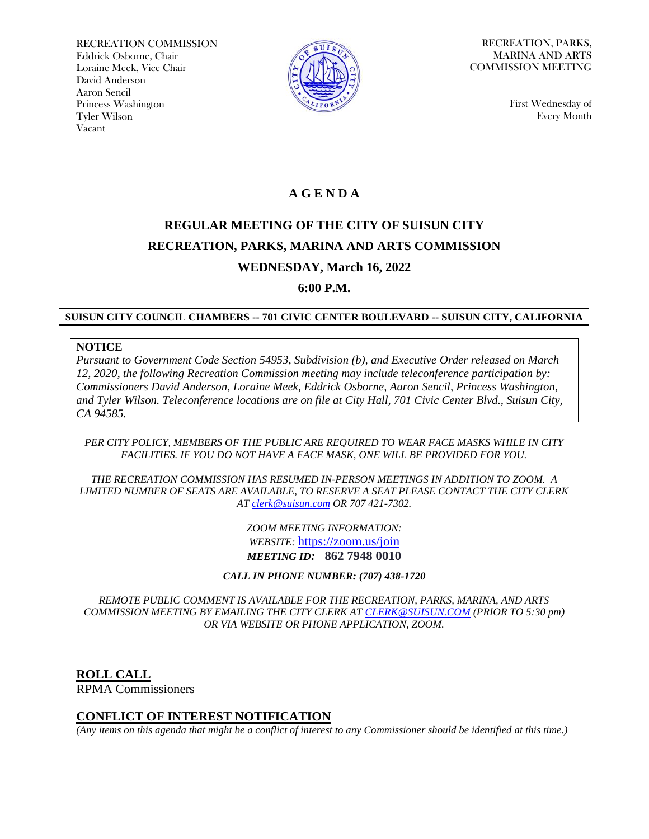RECREATION COMMISSION Eddrick Osborne, Chair Loraine Meek, Vice Chair David Anderson Aaron Sencil Princess Washington Tyler Wilson Vacant



RECREATION, PARKS, MARINA AND ARTS COMMISSION MEETING

> First Wednesday of Every Month

## **A G E N D A**

# **REGULAR MEETING OF THE CITY OF SUISUN CITY RECREATION, PARKS, MARINA AND ARTS COMMISSION WEDNESDAY, March 16, 2022**

**6:00 P.M.**

#### **SUISUN CITY COUNCIL CHAMBERS -- 701 CIVIC CENTER BOULEVARD -- SUISUN CITY, CALIFORNIA**

#### **NOTICE**

*Pursuant to Government Code Section 54953, Subdivision (b), and Executive Order released on March 12, 2020, the following Recreation Commission meeting may include teleconference participation by: Commissioners David Anderson, Loraine Meek, Eddrick Osborne, Aaron Sencil, Princess Washington, and Tyler Wilson. Teleconference locations are on file at City Hall, 701 Civic Center Blvd., Suisun City, CA 94585.*

#### *PER CITY POLICY, MEMBERS OF THE PUBLIC ARE REQUIRED TO WEAR FACE MASKS WHILE IN CITY FACILITIES. IF YOU DO NOT HAVE A FACE MASK, ONE WILL BE PROVIDED FOR YOU.*

*THE RECREATION COMMISSION HAS RESUMED IN-PERSON MEETINGS IN ADDITION TO ZOOM. A LIMITED NUMBER OF SEATS ARE AVAILABLE, TO RESERVE A SEAT PLEASE CONTACT THE CITY CLERK AT [clerk@suisun.com](mailto:clerk@suisun.com) OR 707 421-7302.* 

> *ZOOM MEETING INFORMATION: WEBSITE:* <https://zoom.us/join> *MEETING ID:* **862 7948 0010**

*CALL IN PHONE NUMBER: (707) 438-1720*

*REMOTE PUBLIC COMMENT IS AVAILABLE FOR THE RECREATION, PARKS, MARINA, AND ARTS COMMISSION MEETING BY EMAILING THE CITY CLERK AT [CLERK@SUISUN.COM](mailto:CLERK@SUISUN.COM) (PRIOR TO 5:30 pm) OR VIA WEBSITE OR PHONE APPLICATION, ZOOM.*

**ROLL CALL** RPMA Commissioners

#### **CONFLICT OF INTEREST NOTIFICATION**

*(Any items on this agenda that might be a conflict of interest to any Commissioner should be identified at this time.)*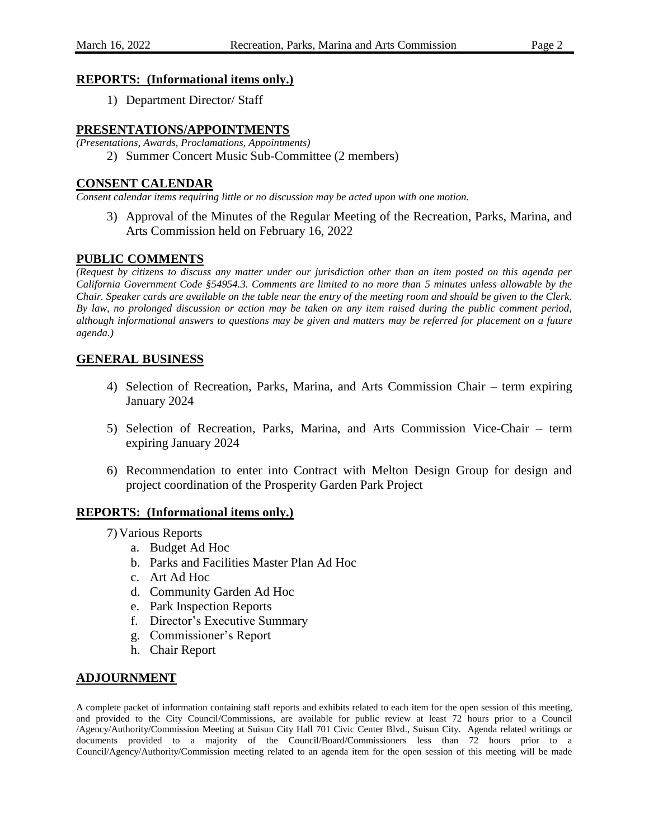#### **REPORTS: (Informational items only.)**

1) Department Director/ Staff

#### **PRESENTATIONS/APPOINTMENTS**

*(Presentations, Awards, Proclamations, Appointments)*

2) Summer Concert Music Sub-Committee (2 members)

#### **CONSENT CALENDAR**

*Consent calendar items requiring little or no discussion may be acted upon with one motion.*

3) Approval of the Minutes of the Regular Meeting of the Recreation, Parks, Marina, and Arts Commission held on February 16, 2022

### **PUBLIC COMMENTS**

*(Request by citizens to discuss any matter under our jurisdiction other than an item posted on this agenda per California Government Code §54954.3. Comments are limited to no more than 5 minutes unless allowable by the Chair. Speaker cards are available on the table near the entry of the meeting room and should be given to the Clerk. By law, no prolonged discussion or action may be taken on any item raised during the public comment period, although informational answers to questions may be given and matters may be referred for placement on a future agenda.)*

#### **GENERAL BUSINESS**

- 4) Selection of Recreation, Parks, Marina, and Arts Commission Chair term expiring January 2024
- 5) Selection of Recreation, Parks, Marina, and Arts Commission Vice-Chair term expiring January 2024
- 6) Recommendation to enter into Contract with Melton Design Group for design and project coordination of the Prosperity Garden Park Project

#### **REPORTS: (Informational items only.)**

7) Various Reports

- a. Budget Ad Hoc
- b. Parks and Facilities Master Plan Ad Hoc
- c. Art Ad Hoc
- d. Community Garden Ad Hoc
- e. Park Inspection Reports
- f. Director's Executive Summary
- g. Commissioner's Report
- h. Chair Report

#### **ADJOURNMENT**

A complete packet of information containing staff reports and exhibits related to each item for the open session of this meeting, and provided to the City Council/Commissions, are available for public review at least 72 hours prior to a Council /Agency/Authority/Commission Meeting at Suisun City Hall 701 Civic Center Blvd., Suisun City. Agenda related writings or documents provided to a majority of the Council/Board/Commissioners less than 72 hours prior to a Council/Agency/Authority/Commission meeting related to an agenda item for the open session of this meeting will be made